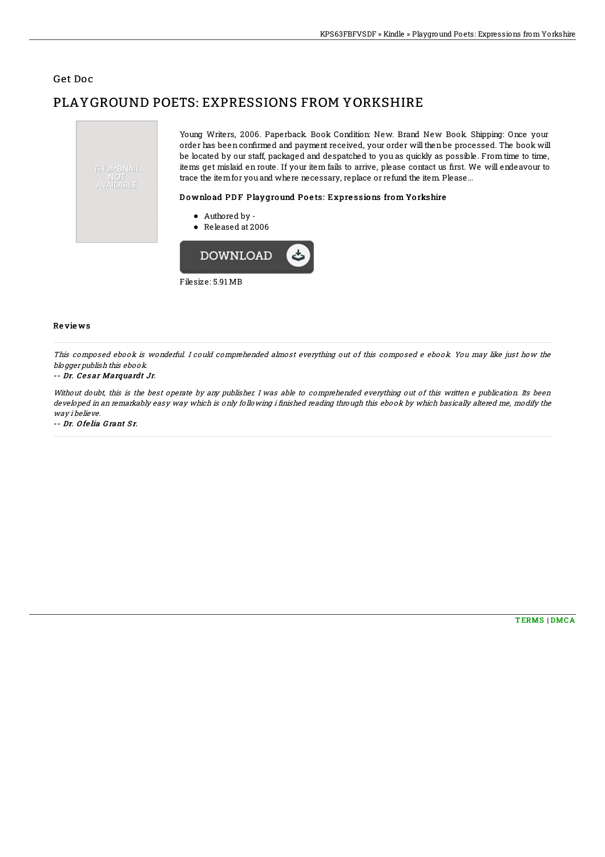### Get Doc

# PLAYGROUND POETS: EXPRESSIONS FROM YORKSHIRE



Filesize: 5.91 MB

#### Re vie ws

This composed ebook is wonderful. I could comprehended almost everything out of this composed <sup>e</sup> ebook. You may like just how the blogger publish this ebook.

#### -- Dr. Cesar Marquardt Jr.

Without doubt, this is the best operate by any publisher. I was able to comprehended everything out of this written e publication. Its been developed in an remarkably easy way which is only following i finished reading through this ebook by which basically altered me, modify the way i believe.

-- Dr. Ofelia Grant Sr.